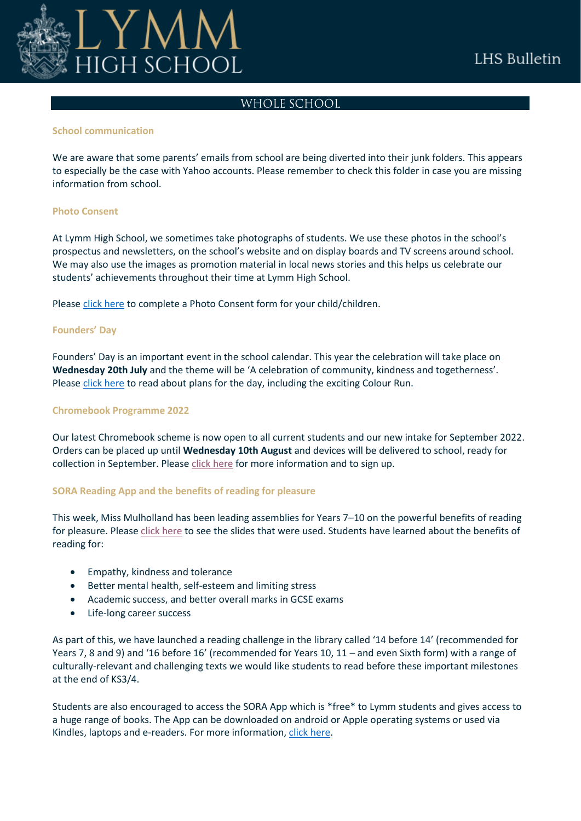

## WHOLE SCHOOL

#### **School communication**

We are aware that some parents' emails from school are being diverted into their junk folders. This appears to especially be the case with Yahoo accounts. Please remember to check this folder in case you are missing information from school.

## **Photo Consent**

At Lymm High School, we sometimes take photographs of students. We use these photos in the school's prospectus and newsletters, on the school's website and on display boards and TV screens around school. We may also use the images as promotion material in local news stories and this helps us celebrate our students' achievements throughout their time at Lymm High School.

Please [click here](https://forms.office.com/pages/responsepage.aspx?id=pKAWUGLG4UeBIshlv3a2a3_A3HESrf1Ij5a6U5bRXY9UOU45UFYwN0E2UkI1MEJOOUFIMVdZOTVCVC4u&web=1&wdLOR=cC0D98756-5931-4302-988F-C5CCBCDEB061) to complete a Photo Consent form for your child/children.

## **Founders' Day**

Founders' Day is an important event in the school calendar. This year the celebration will take place on **Wednesday 20th July** and the theme will be 'A celebration of community, kindness and togetherness'. Please [click here](https://www.lymmhigh.org.uk/wp-content/uploads/2022/06/Founders-Day-2022-letter-home.pdf) to read about plans for the day, including the exciting Colour Run.

## **Chromebook Programme 2022**

Our latest Chromebook scheme is now open to all current students and our new intake for September 2022. Orders can be placed up until **Wednesday 10th August** and devices will be delivered to school, ready for collection in September. Pleas[e click here](https://www.lymmhigh.org.uk/wp-content/uploads/2022/06/LHS-Student-Device-Programme-Summer-2022.pdf) for more information and to sign up.

## **SORA Reading App and the benefits of reading for pleasure**

This week, Miss Mulholland has been leading assemblies for Years 7–10 on the powerful benefits of reading for pleasure. Please [click here](https://www.lymmhigh.org.uk/wp-content/uploads/2022/06/The-importance-of-Reading-Mental-health-wellbeing-social-responsibility-learning-for-website.pdf) to see the slides that were used. Students have learned about the benefits of reading for:

- Empathy, kindness and tolerance
- Better mental health, self-esteem and limiting stress
- Academic success, and better overall marks in GCSE exams
- Life-long career success

As part of this, we have launched a reading challenge in the library called '14 before 14' (recommended for Years 7, 8 and 9) and '16 before 16' (recommended for Years 10, 11 – and even Sixth form) with a range of culturally-relevant and challenging texts we would like students to read before these important milestones at the end of KS3/4.

Students are also encouraged to access the SORA App which is \*free\* to Lymm students and gives access to a huge range of books. The App can be downloaded on android or Apple operating systems or used via Kindles, laptops and e-readers. For more information, [click here.](https://www.lymmhigh.org.uk/wp-content/uploads/2020/10/Lymm-High-Sora-Slideshow-October.pdf)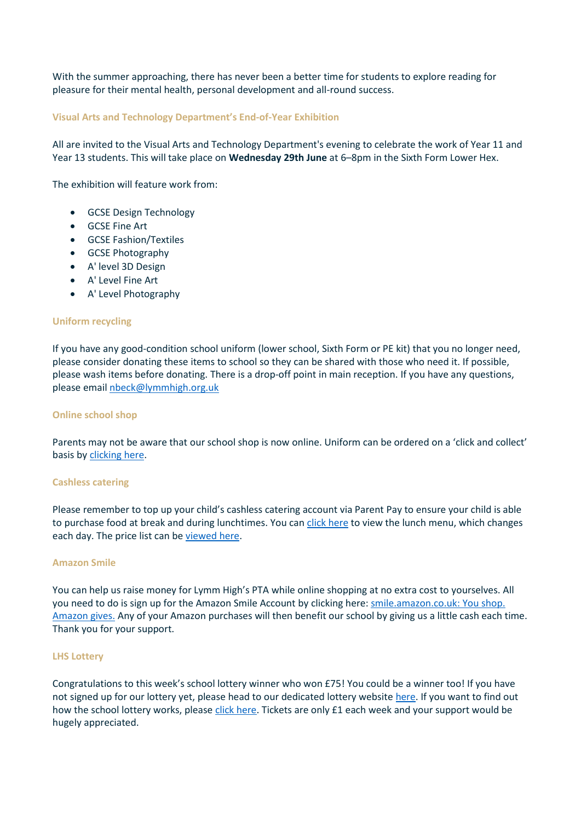With the summer approaching, there has never been a better time for students to explore reading for pleasure for their mental health, personal development and all-round success.

## **Visual Arts and Technology Department's End-of-Year Exhibition**

All are invited to the Visual Arts and Technology Department's evening to celebrate the work of Year 11 and Year 13 students. This will take place on **Wednesday 29th June** at 6–8pm in the Sixth Form Lower Hex.

The exhibition will feature work from:

- GCSE Design Technology
- GCSE Fine Art
- GCSE Fashion/Textiles
- GCSE Photography
- A' level 3D Design
- A' Level Fine Art
- A' Level Photography

## **Uniform recycling**

If you have any good-condition school uniform (lower school, Sixth Form or PE kit) that you no longer need, please consider donating these items to school so they can be shared with those who need it. If possible, please wash items before donating. There is a drop-off point in main reception. If you have any questions, please email [nbeck@lymmhigh.org.uk](mailto:nbeck@lymmhigh.org.uk)

#### **Online school shop**

Parents may not be aware that our school shop is now online. Uniform can be ordered on a 'click and collect' basis by [clicking here.](https://shop.lymmhigh.org.uk/uniform-guidelines/)

#### **Cashless catering**

Please remember to top up your child's cashless catering account via Parent Pay to ensure your child is able to purchase food at break and during lunchtimes. You ca[n click here](https://www.lymmhigh.org.uk/wp-content/uploads/2021/06/2020-2021-Lymm-Diner-Main-Menu-A4.pdf) to view the lunch menu, which changes each day. The price list can be [viewed here.](https://www.lymmhigh.org.uk/wp-content/uploads/2021/10/2020-21-Lymm-Diner-Price-Lists.pdf)

#### **Amazon Smile**

You can help us raise money for Lymm High's PTA while online shopping at no extra cost to yourselves. All you need to do is sign up for the Amazon Smile Account by clicking here: [smile.amazon.co.uk: You shop.](https://smile.amazon.co.uk/gp/chpf/homepage/ref=smi_chpf_redirect?ie=UTF8&ein=515801-0&ref_=smi_ext_ch_515801-0_cl&fbclid=IwAR2Uq0Fft0D1JtTdcxdQI0ycnuZ7ORfMP9yBAkdDQO7lK-8Yc-0BNfGfaWA)  [Amazon gives.](https://smile.amazon.co.uk/gp/chpf/homepage/ref=smi_chpf_redirect?ie=UTF8&ein=515801-0&ref_=smi_ext_ch_515801-0_cl&fbclid=IwAR2Uq0Fft0D1JtTdcxdQI0ycnuZ7ORfMP9yBAkdDQO7lK-8Yc-0BNfGfaWA) Any of your Amazon purchases will then benefit our school by giving us a little cash each time. Thank you for your support.

#### **LHS Lottery**

Congratulations to this week's school lottery winner who won £75! You could be a winner too! If you have not signed up for our lottery yet, please head to our dedicated lottery website [here.](https://www.yourschoollottery.co.uk/lottery/school/lymm-high-school) If you want to find out how the school lottery works, pleas[e click here.](https://www.lymmhigh.org.uk/wp-content/uploads/2021/01/how-it-works-printable.pdf) Tickets are only £1 each week and your support would be hugely appreciated.